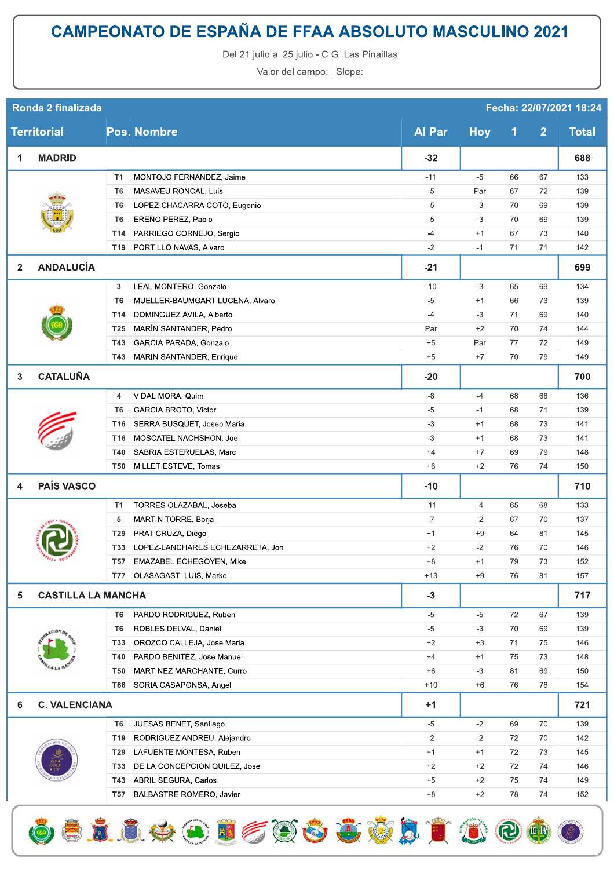## **CAMPEONATO DE ESPAÑA DE FFAA ABSOLUTO MASCULINO 2021**

Del 21 julio al 25 julio - C.G. Las Pinaillas

Valor del campo: | Slope:

| Ronda 2 finalizada<br>Fecha: 22/07/2021 18:24 |                      |                           |                                      |               |            |    |                |              |
|-----------------------------------------------|----------------------|---------------------------|--------------------------------------|---------------|------------|----|----------------|--------------|
| <b>Territorial</b>                            |                      |                           | <b>Pos. Nombre</b>                   | <b>Al Par</b> | <b>Hoy</b> | 1  | $\overline{2}$ | <b>Total</b> |
| 1                                             | <b>MADRID</b>        |                           |                                      | $-32$         |            |    |                | 688          |
|                                               |                      | T1                        | MONTOJO FERNANDEZ, Jaime             | $-11$         | $-5$       | 66 | 67             | 133          |
|                                               |                      | T6                        | MASAVEU RONCAL, Luis                 | $-5$          | Par        | 67 | 72             | 139          |
|                                               |                      | T6                        | LOPEZ-CHACARRA COTO, Eugenio         | $-5$          | $-3$       | 70 | 69             | 139          |
|                                               |                      | T6                        | EREÑO PEREZ, Pablo                   | $-5$          | $-3$       | 70 | 69             | 139          |
|                                               |                      | T14                       | PARRIEGO CORNEJO, Sergio             | $-4$          | $+1$       | 67 | 73             | 140          |
|                                               |                      | T19                       | PORTILLO NAVAS, Alvaro               | $-2$          | $-1$       | 71 | 71             | 142          |
| $\mathbf{2}$                                  | <b>ANDALUCÍA</b>     |                           |                                      | $-21$         |            |    |                | 699          |
|                                               |                      | 3                         | LEAL MONTERO, Gonzalo                | $-10$         | $-3$       | 65 | 69             | 134          |
|                                               |                      | T6                        | MUELLER-BAUMGART LUCENA, Alvaro      | $-5$          | $+1$       | 66 | 73             | 139          |
|                                               |                      | T14                       | DOMINGUEZ AVILA, Alberto             | $-4$          | $-3$       | 71 | 69             | 140          |
|                                               |                      | T <sub>25</sub>           | MARIN SANTANDER, Pedro               | Par           | $+2$       | 70 | 74             | 144          |
|                                               |                      | T43                       | GARCIA PARADA, Gonzalo               | $+5$          | Par        | 77 | 72             | 149          |
|                                               |                      | T43                       | MARIN SANTANDER, Enrique             | $+5$          | $+7$       | 70 | 79             | 149          |
| 3                                             | <b>CATALUÑA</b>      |                           |                                      | $-20$         |            |    |                | 700          |
|                                               |                      | 4                         | VIDAL MORA, Quim                     | -8            | $-4$       | 68 | 68             | 136          |
|                                               |                      | T6                        | <b>GARCIA BROTO, Victor</b>          | $-5$          | $-1$       | 68 | 71             | 139          |
|                                               |                      | T16                       | SERRA BUSQUET, Josep Maria           | $-3$          | $+1$       | 68 | 73             | 141          |
|                                               |                      | T16                       | MOSCATEL NACHSHON, Joel              | $-3$          | $+1$       | 68 | 73             | 141          |
|                                               |                      | T40                       | SABRIA ESTERUELAS, Marc              | $+4$          | $+7$       | 69 | 79             | 148          |
|                                               |                      | <b>T50</b>                | MILLET ESTEVE, Tomas                 | $+6$          | $+2$       | 76 | 74             | 150          |
| 4                                             | <b>PAÍS VASCO</b>    |                           |                                      |               |            |    |                | 710          |
|                                               |                      | T1                        | TORRES OLAZABAL, Joseba              | $-11$         | $-4$       | 65 | 68             | 133          |
|                                               |                      | 5                         | <b>MARTIN TORRE, Borja</b>           | $-7$          | $-2$       | 67 | 70             | 137          |
|                                               |                      | T29                       | PRAT CRUZA, Diego                    | $+1$          | $+9$       | 64 | 81             | 145          |
|                                               |                      |                           | T33 LOPEZ-LANCHARES ECHEZARRETA, Jon | $+2$          | $-2$       | 76 | 70             | 146          |
|                                               | $a_1, a_2$           | T57                       | EMAZABEL ECHEGOYEN, Mikel            | $+8$          | $+1$       | 79 | 73             | 152          |
|                                               |                      | T77                       | OLASAGASTI LUIS, Markel              | $+13$         | $+9$       | 76 | 81             | 157          |
| 5                                             |                      | <b>CASTILLA LA MANCHA</b> |                                      |               |            |    |                | 717          |
|                                               |                      | T6                        | PARDO RODRIGUEZ, Ruben               | -5            | $-5$       | 72 | 67             | 139          |
|                                               |                      | T6                        | ROBLES DELVAL, Daniel                | $-5$          | $-3$       | 70 | 69             | 139          |
|                                               |                      | T33                       | OROZCO CALLEJA, Jose Maria           | $+2$          | $+3$       | 71 | 75             | 146          |
|                                               |                      | T40                       | PARDO BENITEZ, Jose Manuel           | $+4$          | $+1$       | 75 | 73             | 148          |
|                                               |                      | <b>T50</b>                | MARTINEZ MARCHANTE, Curro            | $+6$          | $-3$       | 81 | 69             | 150          |
|                                               |                      | T66                       | SORIA CASAPONSA, Angel               | $+10$         | $+6$       | 76 | 78             | 154          |
| 6                                             | <b>C. VALENCIANA</b> |                           |                                      | $+1$          |            |    |                | 721          |
|                                               |                      | T6                        | JUESAS BENET, Santiago               | $-5$          | $-2$       | 69 | 70             | 139          |
|                                               |                      | T <sub>19</sub>           | RODRIGUEZ ANDREU, Alejandro          | $-2$          | $-2$       | 72 | 70             | 142          |
|                                               |                      | T29                       | LAFUENTE MONTESA, Ruben              | $+1$          | $+1$       | 72 | 73             | 145          |
|                                               |                      | <b>T33</b>                | DE LA CONCEPCION QUILEZ, Jose        | $+2$          | $+2$       | 72 | 74             | 146          |
|                                               |                      | T43                       | ABRIL SEGURA, Carlos                 | $+5$          | $+2$       | 75 | 74             | 149          |
|                                               |                      | T57                       | BALBASTRE ROMERO, Javier             | $+8$          | $+2$       | 78 | 74             | 152          |

6 5 1 1 4 9 5 6 6 6 6 6 7 1 6 6 6 6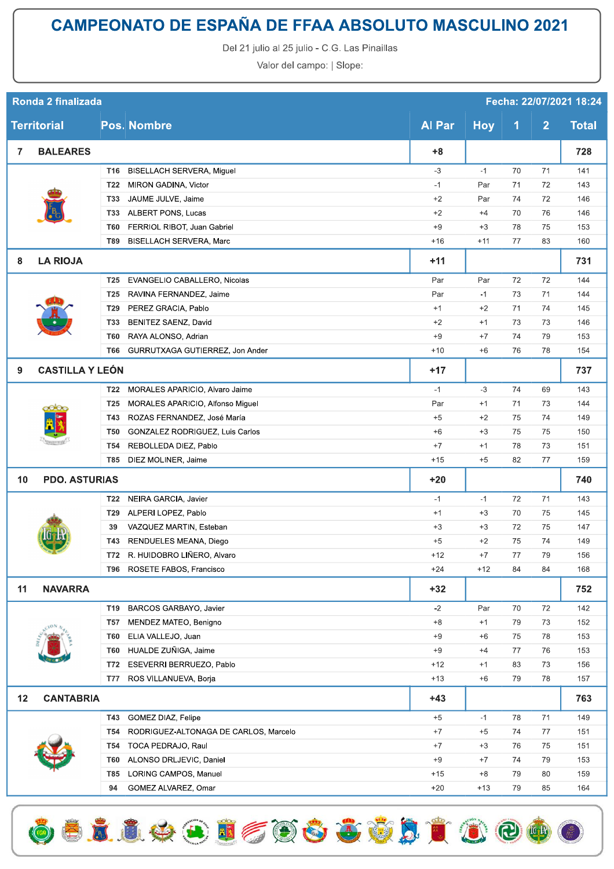## **CAMPEONATO DE ESPAÑA DE FFAA ABSOLUTO MASCULINO 2021**

Del 21 julio al 25 julio - C.G. Las Pinaillas

Valor del campo: | Slope:

| Ronda 2 finalizada<br>Fecha: 22/07/2021 18:24 |                        |                 |                                       |               |            |                      |                |              |
|-----------------------------------------------|------------------------|-----------------|---------------------------------------|---------------|------------|----------------------|----------------|--------------|
| <b>Territorial</b>                            |                        |                 | <b>Pos. Nombre</b>                    | <b>Al Par</b> | <b>Hoy</b> | $\blacktriangleleft$ | $\overline{2}$ | <b>Total</b> |
| $\mathbf{7}$                                  | <b>BALEARES</b>        |                 |                                       | $+8$          |            |                      |                | 728          |
|                                               |                        | T16             | BISELLACH SERVERA, Miguel             | $-3$          | $-1$       | 70                   | 71             | 141          |
|                                               |                        | T22             | MIRON GADINA, Victor                  | $-1$          | Par        | 71                   | 72             | 143          |
|                                               |                        | <b>T33</b>      | JAUME JULVE, Jaime                    | $+2$          | Par        | 74                   | 72             | 146          |
|                                               |                        | <b>T33</b>      | ALBERT PONS, Lucas                    | $+2$          | $+4$       | 70                   | 76             | 146          |
|                                               |                        | <b>T60</b>      | FERRIOL RIBOT, Juan Gabriel           | $+9$          | $+3$       | 78                   | 75             | 153          |
|                                               |                        | <b>T89</b>      | <b>BISELLACH SERVERA, Marc</b>        | $+16$         | $+11$      | 77                   | 83             | 160          |
| 8                                             | <b>LA RIOJA</b>        |                 |                                       | $+11$         |            |                      |                | 731          |
|                                               |                        | T <sub>25</sub> | EVANGELIO CABALLERO, Nicolas          | Par           | Par        | 72                   | 72             | 144          |
|                                               |                        | T <sub>25</sub> | RAVINA FERNANDEZ, Jaime               | Par           | $-1$       | 73                   | 71             | 144          |
|                                               |                        | T <sub>29</sub> | PEREZ GRACIA, Pablo                   | $+1$          | $+2$       | 71                   | 74             | 145          |
|                                               |                        | <b>T33</b>      | <b>BENITEZ SAENZ, David</b>           | $+2$          | $+1$       | 73                   | 73             | 146          |
|                                               |                        | <b>T60</b>      | RAYA ALONSO, Adrian                   | $+9$          | $+7$       | 74                   | 79             | 153          |
|                                               |                        | T66             | GURRUTXAGA GUTIERREZ, Jon Ander       | $+10$         | $+6$       | 76                   | 78             | 154          |
| 9                                             | <b>CASTILLA Y LEÓN</b> |                 |                                       | $+17$         |            |                      |                | 737          |
|                                               |                        | T <sub>22</sub> | MORALES APARICIO, Alvaro Jaime        | $-1$          | $-3$       | 74                   | 69             | 143          |
|                                               | o00c                   | <b>T25</b>      | MORALES APARICIO, Alfonso Miguel      | Par           | $+1$       | 71                   | 73             | 144          |
|                                               |                        | T43             | ROZAS FERNANDEZ, José María           | $+5$          | $+2$       | 75                   | 74             | 149          |
|                                               |                        | <b>T50</b>      | GONZALEZ RODRIGUEZ, Luis Carlos       | $+6$          | $+3$       | 75                   | 75             | 150          |
|                                               |                        | T <sub>54</sub> | REBOLLEDA DIEZ, Pablo                 | $+7$          | $+1$       | 78                   | 73             | 151          |
|                                               |                        | <b>T85</b>      | DIEZ MOLINER, Jaime                   | $+15$         | $+5$       | 82                   | 77             | 159          |
| 10                                            | <b>PDO. ASTURIAS</b>   |                 |                                       | $+20$         |            |                      |                | 740          |
|                                               |                        | <b>T22</b>      | NEIRA GARCIA, Javier                  | $-1$          | $-1$       | 72                   | 71             | 143          |
|                                               |                        | T29             | ALPERI LOPEZ, Pablo                   | $+1$          | $+3$       | 70                   | 75             | 145          |
|                                               |                        | 39              | VAZQUEZ MARTIN, Esteban               | $+3$          | $+3$       | 72                   | 75             | 147          |
|                                               | <b>STATISTICS</b>      | T43             | RENDUELES MEANA, Diego                | $+5$          | $+2$       | 75                   | 74             | 149          |
|                                               |                        | T72             | R. HUIDOBRO LIÑERO, Alvaro            | $+12$         | $+7$       | 77                   | 79             | 156          |
|                                               |                        | T96             | ROSETE FABOS, Francisco               | $+24$         | $+12$      | 84                   | 84             | 168          |
| 11                                            | <b>NAVARRA</b>         |                 |                                       | $+32$         |            |                      |                | 752          |
|                                               |                        | T19             | BARCOS GARBAYO, Javier                | $-2$          | Par        | 70                   | 72             | 142          |
|                                               |                        | <b>T57</b>      | MENDEZ MATEO, Benigno                 | $+8$          | $+1$       | 79                   | 73             | 152          |
|                                               |                        | <b>T60</b>      | ELIA VALLEJO, Juan                    | $+9$          | $+6$       | 75                   | 78             | 153          |
|                                               |                        | <b>T60</b>      | HUALDE ZUÑIGA, Jaime                  | $+9$          | $+4$       | 77                   | 76             | 153          |
|                                               |                        | T72             | ESEVERRI BERRUEZO, Pablo              | $+12$         | $+1$       | 83                   | 73             | 156          |
|                                               |                        | <b>T77</b>      | ROS VILLANUEVA, Borja                 | $+13$         | $+6$       | 79                   | 78             | 157          |
| 12                                            | <b>CANTABRIA</b>       |                 |                                       | $+43$         |            |                      |                | 763          |
|                                               |                        | T43             | GOMEZ DIAZ, Felipe                    | $+5$          | $-1$       | 78                   | 71             | 149          |
|                                               |                        | <b>T54</b>      | RODRIGUEZ-ALTONAGA DE CARLOS, Marcelo | $+7$          | $+5$       | 74                   | 77             | 151          |
|                                               |                        | T54             | TOCA PEDRAJO, Raul                    | $+7$          | $+3$       | 76                   | 75             | 151          |
|                                               |                        | T60             | ALONSO DRLJEVIC, Daniel               | $+9$          | $+7$       | 74                   | 79             | 153          |
|                                               |                        | <b>T85</b>      | LORING CAMPOS, Manuel                 | $+15$         | $+8$       | 79                   | 80             | 159          |
|                                               |                        | 94              | GOMEZ ALVAREZ, Omar                   | $+20$         | $+13$      | 79                   | 85             | 164          |

651140160633510000